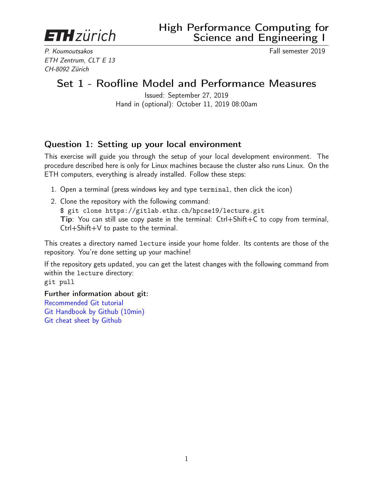<span id="page-0-0"></span>**ETH** zürich

P. Koumoutsakos Fall semester 2019 ETH Zentrum, CLT E 13 CH-8092 Zürich

# Set 1 - Roofline Model and Performance Measures

Issued: September 27, 2019 Hand in (optional): October 11, 2019 08:00am

## Question 1: Setting up your local environment

This exercise will guide you through the setup of your local development environment. The procedure described here is only for Linux machines because the cluster also runs Linux. On the ETH computers, everything is already installed. Follow these steps:

- 1. Open a terminal (press windows key and type terminal, then click the icon)
- 2. Clone the repository with the following command: \$ git clone https://gitlab.ethz.ch/hpcse19/lecture.git Tip: You can still use copy paste in the terminal: Ctrl+Shift+C to copy from terminal, Ctrl+Shift+V to paste to the terminal.

This creates a directory named lecture inside your home folder. Its contents are those of the repository. You're done setting up your machine!

If the repository gets updated, you can get the latest changes with the following command from within the lecture directory: git pull

Further information about git: [Recommended Git tutorial](https://www.atlassian.com/git/tutorials) [Git Handbook by Github \(10min\)](https://guides.github.com/introduction/git-handbook/) [Git cheat sheet by Github](https://services.github.com/on-demand/downloads/github-git-cheat-sheet.pdf)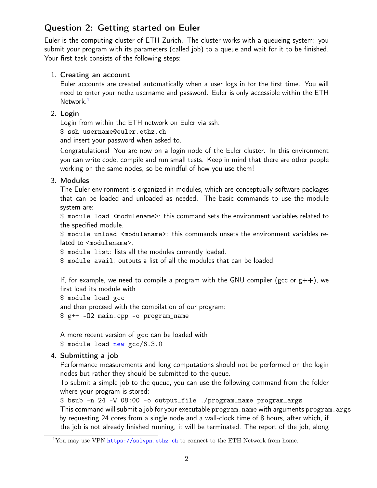# Question 2: Getting started on Euler

Euler is the computing cluster of ETH Zurich. The cluster works with a queueing system: you submit your program with its parameters (called job) to a queue and wait for it to be finished. Your first task consists of the following steps:

#### 1. Creating an account

Euler accounts are created automatically when a user logs in for the first time. You will need to enter your nethz username and password. Euler is only accessible within the ETH Network<sup>[1](#page-0-0)</sup>

#### 2. Login

Login from within the ETH network on Euler via ssh:

\$ ssh username@euler.ethz.ch

and insert your password when asked to.

Congratulations! You are now on a login node of the Euler cluster. In this environment you can write code, compile and run small tests. Keep in mind that there are other people working on the same nodes, so be mindful of how you use them!

#### 3. Modules

The Euler environment is organized in modules, which are conceptually software packages that can be loaded and unloaded as needed. The basic commands to use the module system are:

\$ module load <modulename>: this command sets the environment variables related to the specified module.

\$ module unload <modulename>: this commands unsets the environment variables related to <modulename>.

\$ module list: lists all the modules currently loaded.

\$ module avail: outputs a list of all the modules that can be loaded.

If, for example, we need to compile a program with the GNU compiler (gcc or  $g++$ ), we first load its module with

\$ module load gcc

and then proceed with the compilation of our program:

\$ g++ -O2 main.cpp -o program\_name

A more recent version of gcc can be loaded with \$ module load new gcc/6.3.0

#### 4. Submitting a job

Performance measurements and long computations should not be performed on the login nodes but rather they should be submitted to the queue.

To submit a simple job to the queue, you can use the following command from the folder where your program is stored:

\$ bsub -n 24 -W 08:00 -o output\_file ./program\_name program\_args This command will submit a job for your executable program\_name with arguments program\_args by requesting 24 cores from a single node and a wall-clock time of 8 hours, after which, if the job is not already finished running, it will be terminated. The report of the job, along

<sup>&</sup>lt;sup>1</sup>You may use VPN <https://sslvpn.ethz.ch> to connect to the ETH Network from home.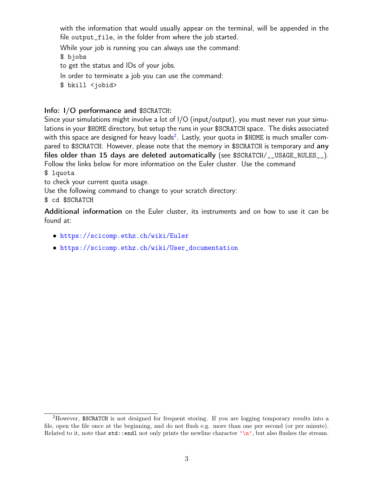with the information that would usually appear on the terminal, will be appended in the file output\_file, in the folder from where the job started.

While your job is running you can always use the command:

\$ bjobs

to get the status and IDs of your jobs.

In order to terminate a job you can use the command:

\$ bkill <jobid>

#### Info: I/O performance and \$SCRATCH:

Since your simulations might involve a lot of I/O (input/output), you must never run your simulations in your \$HOME directory, but setup the runs in your \$SCRATCH space. The disks associated with this space are designed for heavy loads $^2\!\!$  $^2\!\!$  $^2\!\!$  . Lastly, your quota in \$HOME is much smaller compared to \$SCRATCH. However, please note that the memory in \$SCRATCH is temporary and any files older than 15 days are deleted automatically (see \$SCRATCH/\_\_USAGE\_RULES\_\_). Follow the links below for more information on the Euler cluster. Use the command

#### \$ lquota

to check your current quota usage.

Use the following command to change to your scratch directory:

\$ cd \$SCRATCH

Additional information on the Euler cluster, its instruments and on how to use it can be found at:

- <https://scicomp.ethz.ch/wiki/Euler>
- [https://scicomp.ethz.ch/wiki/User\\_documentation](https://scicomp.ethz.ch/wiki/User_documentation)

<sup>2</sup>However, \$SCRATCH is not designed for frequent storing. If you are logging temporary results into a file, open the file once at the beginning, and do not flush e.g. more than one per second (or per minute). Related to it, note that  $std$ : endl not only prints the newline character  $\lambda_n$ , but also flushes the stream.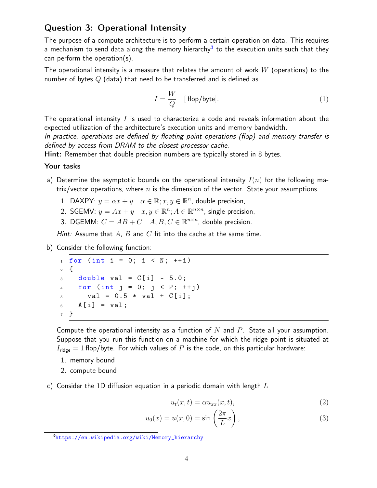### Question 3: Operational Intensity

The purpose of a compute architecture is to perform a certain operation on data. This requires a mechanism to send data along the memory hierarchy $^3$  $^3$  to the execution units such that they can perform the operation(s).

The operational intensity is a measure that relates the amount of work  $W$  (operations) to the number of bytes  $Q$  (data) that need to be transferred and is defined as

$$
I = \frac{W}{Q} \quad [\text{flop/byte}]. \tag{1}
$$

The operational intensity  $I$  is used to characterize a code and reveals information about the expected utilization of the architecture's execution units and memory bandwidth.

In practice, operations are defined by floating point operations (flop) and memory transfer is defined by access from DRAM to the closest processor cache.

Hint: Remember that double precision numbers are typically stored in 8 bytes.

#### Your tasks

- a) Determine the asymptotic bounds on the operational intensity  $I(n)$  for the following matrix/vector operations, where  $n$  is the dimension of the vector. State your assumptions.
	- 1. DAXPY:  $y = \alpha x + y \quad \alpha \in \mathbb{R}; x, y \in \mathbb{R}^n$ , double precision,
	- 2. SGEMV:  $y = Ax + y$   $x, y \in \mathbb{R}^n$ ;  $A \in \mathbb{R}^{n \times n}$ , single precision,
	- 3. DGEMM:  $C = AB + C$   $A, B, C \in \mathbb{R}^{n \times n}$ , double precision.

Hint: Assume that  $A$ ,  $B$  and  $C$  fit into the cache at the same time.

b) Consider the following function:

```
_1 for (int i = 0; i < N; ++i)
2 {
3 double val = C[i] - 5.0;
4 for (int j = 0; j < P; ++j)
5 val = 0.5 * val + C[i];
6 A[i] = val;7 }
```
Compute the operational intensity as a function of  $N$  and  $P$ . State all your assumption. Suppose that you run this function on a machine for which the ridge point is situated at  $I_{\text{ridge}} = 1$  flop/byte. For which values of P is the code, on this particular hardware:

1. memory bound

2. compute bound

c) Consider the 1D diffusion equation in a periodic domain with length  $L$ 

<span id="page-3-0"></span>
$$
u_t(x,t) = \alpha u_{xx}(x,t),\tag{2}
$$

$$
u_0(x) = u(x,0) = \sin\left(\frac{2\pi}{L}x\right),\tag{3}
$$

<sup>3</sup>[https://en.wikipedia.org/wiki/Memory\\_hierarchy](https://en.wikipedia.org/wiki/Memory_hierarchy)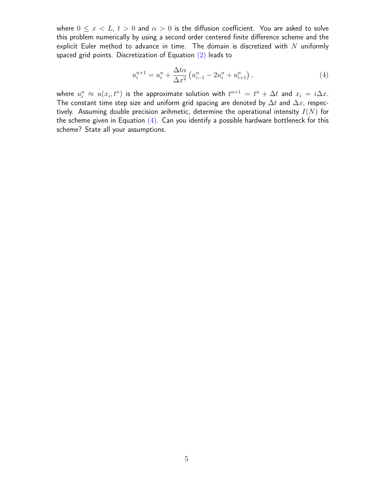where  $0 \le x < L$ ,  $t > 0$  and  $\alpha > 0$  is the diffusion coefficient. You are asked to solve this problem numerically by using a second order centered finite difference scheme and the explicit Euler method to advance in time. The domain is discretized with  $N$  uniformly spaced grid points. Discretization of Equation  $(2)$  leads to

<span id="page-4-0"></span>
$$
u_i^{n+1} = u_i^n + \frac{\Delta t \alpha}{\Delta x^2} \left( u_{i-1}^n - 2u_i^n + u_{i+1}^n \right), \tag{4}
$$

where  $u_i^n \approx u(x_i, t^n)$  is the approximate solution with  $t^{n+1} = t^n + \Delta t$  and  $x_i = i\Delta x$ . The constant time step size and uniform grid spacing are denoted by  $\Delta t$  and  $\Delta x$ , respectively. Assuming double precision arihmetic, determine the operational intensity  $I(N)$  for the scheme given in Equation  $(4)$ . Can you identify a possible hardware bottleneck for this scheme? State all your assumptions.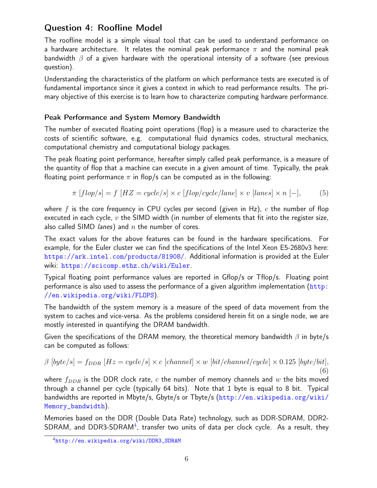# Question 4: Roofline Model

The roofline model is a simple visual tool that can be used to understand performance on a hardware architecture. It relates the nominal peak performance  $\pi$  and the nominal peak bandwidth  $\beta$  of a given hardware with the operational intensity of a software (see previous question).

Understanding the characteristics of the platform on which performance tests are executed is of fundamental importance since it gives a context in which to read performance results. The primary objective of this exercise is to learn how to characterize computing hardware performance.

#### Peak Performance and System Memory Bandwidth

The number of executed floating point operations (flop) is a measure used to characterize the costs of scientific software, e.g. computational fluid dynamics codes, structural mechanics, computational chemistry and computational biology packages.

The peak floating point performance, hereafter simply called peak performance, is a measure of the quantity of flop that a machine can execute in a given amount of time. Typically, the peak floating point performance  $\pi$  in flop/s can be computed as in the following:

$$
\pi [flop/s] = f [HZ = cycle/s] \times c [flop/cycle/lane] \times v [lanes] \times n [-],
$$
 (5)

where f is the core frequency in CPU cycles per second (given in Hz), c the number of flop executed in each cycle,  $v$  the SIMD width (in number of elements that fit into the register size, also called SIMD *lanes*) and  $n$  the number of cores.

The exact values for the above features can be found in the hardware specifications. For example, for the Euler cluster we can find the specifications of the Intel Xeon E5-2680v3 here: <https://ark.intel.com/products/81908/>. Additional information is provided at the Euler wiki: <https://scicomp.ethz.ch/wiki/Euler>.

Typical floating point performance values are reported in Gflop/s or Tflop/s. Floating point performance is also used to assess the performance of a given algorithm implementation ([http:](http://en.wikipedia.org/wiki/FLOPS) [//en.wikipedia.org/wiki/FLOPS](http://en.wikipedia.org/wiki/FLOPS)).

The bandwidth of the system memory is a measure of the speed of data movement from the system to caches and vice-versa. As the problems considered herein fit on a single node, we are mostly interested in quantifying the DRAM bandwidth.

Given the specifications of the DRAM memory, the theoretical memory bandwidth  $\beta$  in byte/s can be computed as follows:

$$
\beta \left[byte/s\right] = f_{DDR}\left[Hz = cycle/s\right] \times c\left[channel\right] \times w\left[bit/channel/cycle\right] \times 0.125\left[byte/bit\right],\tag{6}
$$

where  $f_{DDR}$  is the DDR clock rate, c the number of memory channels and w the bits moved through a channel per cycle (typically 64 bits). Note that 1 byte is equal to 8 bit. Typical bandwidths are reported in Mbyte/s, Gbyte/s or Tbyte/s ([http://en.wikipedia.org/wiki/](http://en.wikipedia.org/wiki/Memory_bandwidth) [Memory\\_bandwidth](http://en.wikipedia.org/wiki/Memory_bandwidth)).

Memories based on the DDR (Double Data Rate) technology, such as DDR-SDRAM, DDR2-  ${\sf SDRAM}$ , and  ${\sf DDR3{\text -}SDRAM^4}$  ${\sf DDR3{\text -}SDRAM^4}$  ${\sf DDR3{\text -}SDRAM^4}$ , transfer two units of data per clock cycle. As a result, they

<sup>4</sup>[http://en.wikipedia.org/wiki/DDR3\\_SDRAM](http://en.wikipedia.org/wiki/DDR3_SDRAM)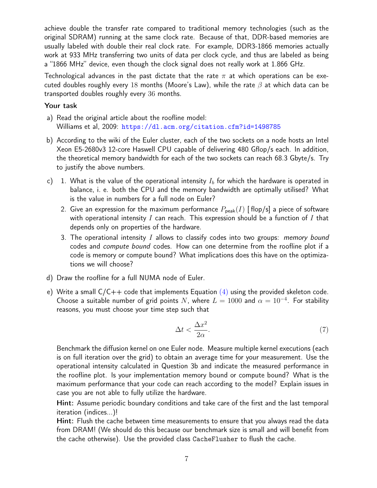achieve double the transfer rate compared to traditional memory technologies (such as the original SDRAM) running at the same clock rate. Because of that, DDR-based memories are usually labeled with double their real clock rate. For example, DDR3-1866 memories actually work at 933 MHz transferring two units of data per clock cycle, and thus are labeled as being a "1866 MHz" device, even though the clock signal does not really work at 1.866 GHz.

Technological advances in the past dictate that the rate  $\pi$  at which operations can be executed doubles roughly every 18 months (Moore's Law), while the rate  $\beta$  at which data can be transported doubles roughly every 36 months.

#### Your task

- a) Read the original article about the roofline model: Williams et al, 2009: <https://dl.acm.org/citation.cfm?id=1498785>
- b) According to the wiki of the Euler cluster, each of the two sockets on a node hosts an Intel Xeon E5-2680v3 12-core Haswell CPU capable of delivering 480 Gflop/s each. In addition, the theoretical memory bandwidth for each of the two sockets can reach 68.3 Gbyte/s. Try to justify the above numbers.
- c) 1. What is the value of the operational intensity  $I_b$  for which the hardware is operated in balance, i. e. both the CPU and the memory bandwidth are optimally utilised? What is the value in numbers for a full node on Euler?
	- 2. Give an expression for the maximum performance  $P_{\text{peak}}(I)$  [flop/s] a piece of software with operational intensity I can reach. This expression should be a function of I that depends only on properties of the hardware.
	- 3. The operational intensity I allows to classify codes into two groups: *memory bound* codes and compute bound codes. How can one determine from the roofline plot if a code is memory or compute bound? What implications does this have on the optimizations we will choose?
- <span id="page-6-0"></span>d) Draw the roofline for a full NUMA node of Euler.
- e) Write a small  $C/C++$  code that implements Equation  $(4)$  using the provided skeleton code. Choose a suitable number of grid points N, where  $L = 1000$  and  $\alpha = 10^{-4}$ . For stability reasons, you must choose your time step such that

$$
\Delta t < \frac{\Delta x^2}{2\alpha}.\tag{7}
$$

Benchmark the diffusion kernel on one Euler node. Measure multiple kernel executions (each is on full iteration over the grid) to obtain an average time for your measurement. Use the operational intensity calculated in Question 3b and indicate the measured performance in the roofline plot. Is your implementation memory bound or compute bound? What is the maximum performance that your code can reach according to the model? Explain issues in case you are not able to fully utilize the hardware.

Hint: Assume periodic boundary conditions and take care of the first and the last temporal iteration (indices...)!

Hint: Flush the cache between time measurements to ensure that you always read the data from DRAM! (We should do this because our benchmark size is small and will benefit from the cache otherwise). Use the provided class CacheFlusher to flush the cache.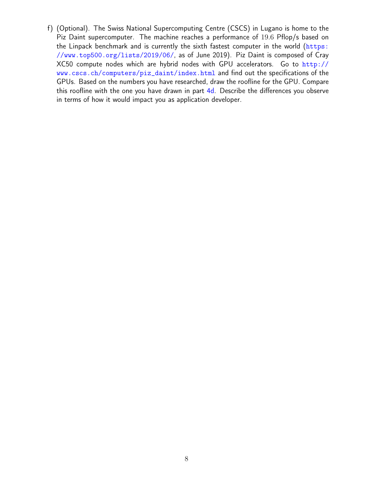f) (Optional). The Swiss National Supercomputing Centre (CSCS) in Lugano is home to the Piz Daint supercomputer. The machine reaches a performance of 19.6 Pflop/s based on the Linpack benchmark and is currently the sixth fastest computer in the world ([https:](https://www.top500.org/lists/2019/06/) [//www.top500.org/lists/2019/06/](https://www.top500.org/lists/2019/06/), as of June 2019). Piz Daint is composed of Cray XC50 compute nodes which are hybrid nodes with GPU accelerators. Go to [http://](http://www.cscs.ch/computers/piz_daint/index.html) [www.cscs.ch/computers/piz\\_daint/index.html](http://www.cscs.ch/computers/piz_daint/index.html) and find out the specifications of the GPUs. Based on the numbers you have researched, draw the roofline for the GPU. Compare this roofline with the one you have drawn in part [4d.](#page-6-0) Describe the differences you observe in terms of how it would impact you as application developer.